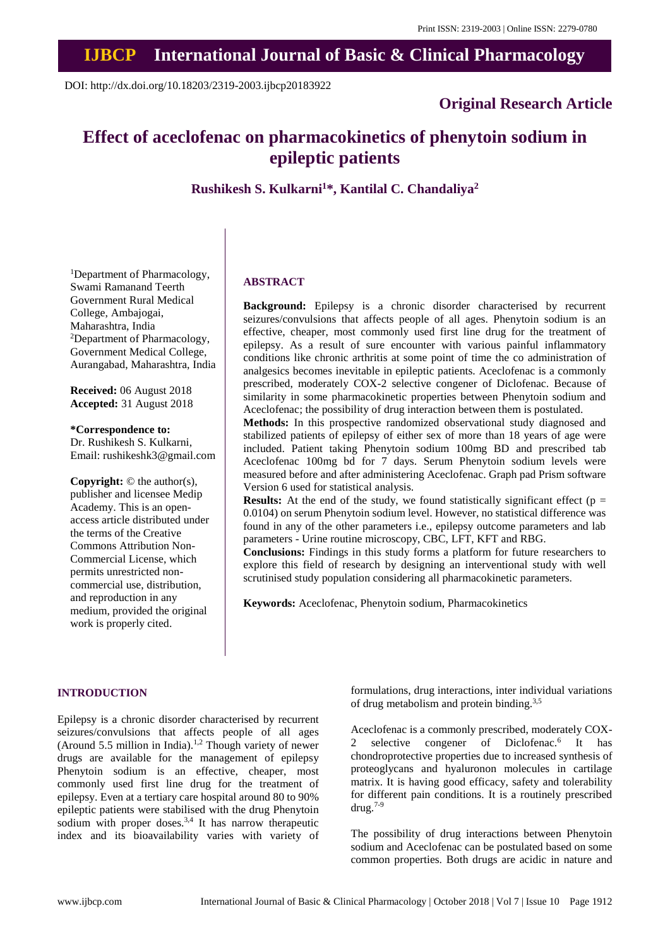## **IJBCP International Journal of Basic & Clinical Pharmacology**

DOI: http://dx.doi.org/10.18203/2319-2003.ijbcp20183922

## **Original Research Article**

# **Effect of aceclofenac on pharmacokinetics of phenytoin sodium in epileptic patients**

**Rushikesh S. Kulkarni<sup>1</sup>\*, Kantilal C. Chandaliya<sup>2</sup>**

<sup>1</sup>Department of Pharmacology, Swami Ramanand Teerth Government Rural Medical College, Ambajogai, Maharashtra, India <sup>2</sup>Department of Pharmacology, Government Medical College, Aurangabad, Maharashtra, India

**Received:** 06 August 2018 **Accepted:** 31 August 2018

**\*Correspondence to:** Dr. Rushikesh S. Kulkarni, Email: rushikeshk3@gmail.com

**Copyright:** © the author(s), publisher and licensee Medip Academy. This is an openaccess article distributed under the terms of the Creative Commons Attribution Non-Commercial License, which permits unrestricted noncommercial use, distribution, and reproduction in any medium, provided the original work is properly cited.

## **ABSTRACT**

**Background:** Epilepsy is a chronic disorder characterised by recurrent seizures/convulsions that affects people of all ages. Phenytoin sodium is an effective, cheaper, most commonly used first line drug for the treatment of epilepsy. As a result of sure encounter with various painful inflammatory conditions like chronic arthritis at some point of time the co administration of analgesics becomes inevitable in epileptic patients. Aceclofenac is a commonly prescribed, moderately COX-2 selective congener of Diclofenac. Because of similarity in some pharmacokinetic properties between Phenytoin sodium and Aceclofenac; the possibility of drug interaction between them is postulated.

**Methods:** In this prospective randomized observational study diagnosed and stabilized patients of epilepsy of either sex of more than 18 years of age were included. Patient taking Phenytoin sodium 100mg BD and prescribed tab Aceclofenac 100mg bd for 7 days. Serum Phenytoin sodium levels were measured before and after administering Aceclofenac. Graph pad Prism software Version 6 used for statistical analysis.

**Results:** At the end of the study, we found statistically significant effect ( $p =$ 0.0104) on serum Phenytoin sodium level. However, no statistical difference was found in any of the other parameters i.e., epilepsy outcome parameters and lab parameters - Urine routine microscopy, CBC, LFT, KFT and RBG.

**Conclusions:** Findings in this study forms a platform for future researchers to explore this field of research by designing an interventional study with well scrutinised study population considering all pharmacokinetic parameters.

**Keywords:** Aceclofenac, Phenytoin sodium, Pharmacokinetics

## **INTRODUCTION**

Epilepsy is a chronic disorder characterised by recurrent seizures/convulsions that affects people of all ages (Around 5.5 million in India).1,2 Though variety of newer drugs are available for the management of epilepsy Phenytoin sodium is an effective, cheaper, most commonly used first line drug for the treatment of epilepsy. Even at a tertiary care hospital around 80 to 90% epileptic patients were stabilised with the drug Phenytoin sodium with proper doses. $3,4$  It has narrow therapeutic index and its bioavailability varies with variety of formulations, drug interactions, inter individual variations of drug metabolism and protein binding.3,5

Aceclofenac is a commonly prescribed, moderately COX-2 selective congener of Diclofenac.<sup>6</sup> It has chondroprotective properties due to increased synthesis of proteoglycans and hyaluronon molecules in cartilage matrix. It is having good efficacy, safety and tolerability for different pain conditions. It is a routinely prescribed drug.7-9

The possibility of drug interactions between Phenytoin sodium and Aceclofenac can be postulated based on some common properties. Both drugs are acidic in nature and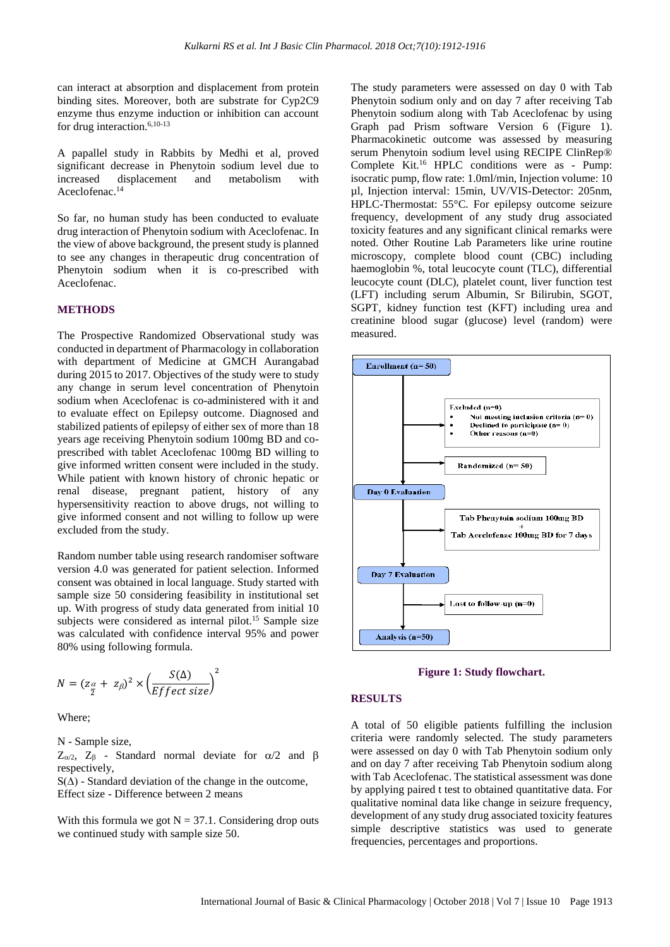can interact at absorption and displacement from protein binding sites. Moreover, both are substrate for Cyp2C9 enzyme thus enzyme induction or inhibition can account for drug interaction.6,10-13

A papallel study in Rabbits by Medhi et al, proved significant decrease in Phenytoin sodium level due to increased displacement and metabolism with Aceclofenac.<sup>14</sup>

So far, no human study has been conducted to evaluate drug interaction of Phenytoin sodium with Aceclofenac. In the view of above background, the present study is planned to see any changes in therapeutic drug concentration of Phenytoin sodium when it is co-prescribed with Aceclofenac.

#### **METHODS**

The Prospective Randomized Observational study was conducted in department of Pharmacology in collaboration with department of Medicine at GMCH Aurangabad during 2015 to 2017. Objectives of the study were to study any change in serum level concentration of Phenytoin sodium when Aceclofenac is co-administered with it and to evaluate effect on Epilepsy outcome. Diagnosed and stabilized patients of epilepsy of either sex of more than 18 years age receiving Phenytoin sodium 100mg BD and coprescribed with tablet Aceclofenac 100mg BD willing to give informed written consent were included in the study. While patient with known history of chronic hepatic or renal disease, pregnant patient, history of any hypersensitivity reaction to above drugs, not willing to give informed consent and not willing to follow up were excluded from the study.

Random number table using research randomiser software version 4.0 was generated for patient selection. Informed consent was obtained in local language. Study started with sample size 50 considering feasibility in institutional set up. With progress of study data generated from initial 10 subjects were considered as internal pilot.<sup>15</sup> Sample size was calculated with confidence interval 95% and power 80% using following formula.

$$
N = (z_{\frac{\alpha}{2}} + z_{\beta})^2 \times \left(\frac{S(\Delta)}{Effect size}\right)^2
$$

Where;

N - Sample size,

 $Z_{\alpha/2}$ ,  $Z_{\beta}$  - Standard normal deviate for  $\alpha/2$  and  $\beta$ respectively,

 $S(\Delta)$  - Standard deviation of the change in the outcome, Effect size - Difference between 2 means

With this formula we got  $N = 37.1$ . Considering drop outs we continued study with sample size 50.

The study parameters were assessed on day 0 with Tab Phenytoin sodium only and on day 7 after receiving Tab Phenytoin sodium along with Tab Aceclofenac by using Graph pad Prism software Version 6 (Figure 1). Pharmacokinetic outcome was assessed by measuring serum Phenytoin sodium level using RECIPE ClinRep® Complete Kit.<sup>16</sup> HPLC conditions were as - Pump: isocratic pump, flow rate: 1.0ml/min, Injection volume: 10 µl, Injection interval: 15min, UV/VIS-Detector: 205nm, HPLC-Thermostat: 55°C. For epilepsy outcome seizure frequency, development of any study drug associated toxicity features and any significant clinical remarks were noted. Other Routine Lab Parameters like urine routine microscopy, complete blood count (CBC) including haemoglobin %, total leucocyte count (TLC), differential leucocyte count (DLC), platelet count, liver function test (LFT) including serum Albumin, Sr Bilirubin, SGOT, SGPT, kidney function test (KFT) including urea and creatinine blood sugar (glucose) level (random) were measured.





#### **RESULTS**

A total of 50 eligible patients fulfilling the inclusion criteria were randomly selected. The study parameters were assessed on day 0 with Tab Phenytoin sodium only and on day 7 after receiving Tab Phenytoin sodium along with Tab Aceclofenac. The statistical assessment was done by applying paired t test to obtained quantitative data. For qualitative nominal data like change in seizure frequency, development of any study drug associated toxicity features simple descriptive statistics was used to generate frequencies, percentages and proportions.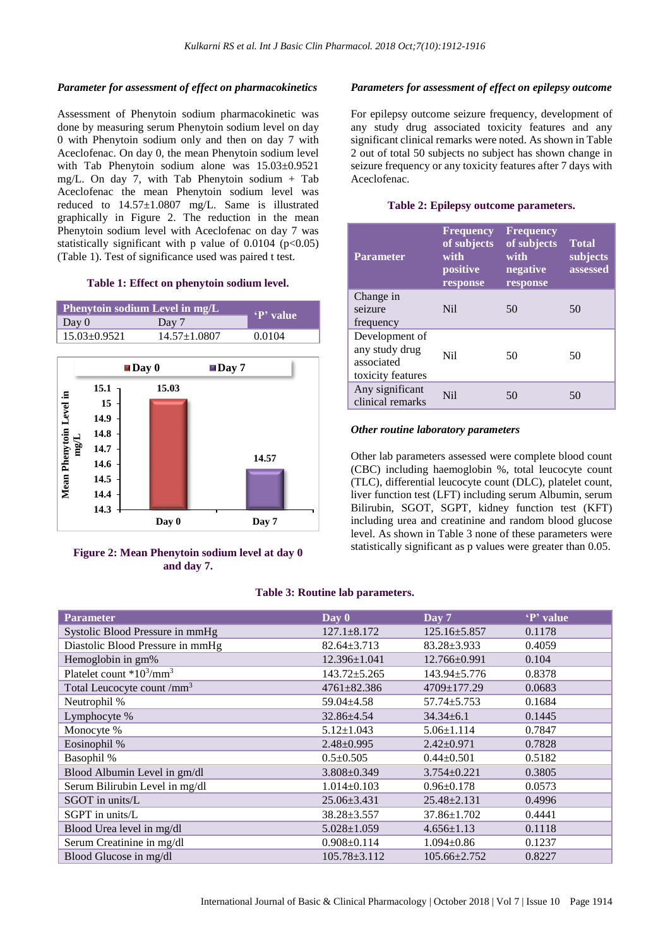## *Parameter for assessment of effect on pharmacokinetics*

Assessment of Phenytoin sodium pharmacokinetic was done by measuring serum Phenytoin sodium level on day 0 with Phenytoin sodium only and then on day 7 with Aceclofenac. On day 0, the mean Phenytoin sodium level with Tab Phenytoin sodium alone was 15.03±0.9521 mg/L. On day 7, with Tab Phenytoin sodium + Tab Aceclofenac the mean Phenytoin sodium level was reduced to 14.57±1.0807 mg/L. Same is illustrated graphically in Figure 2. The reduction in the mean Phenytoin sodium level with Aceclofenac on day 7 was statistically significant with p value of  $0.0104$  (p<0.05) (Table 1). Test of significance used was paired t test.

## **Table 1: Effect on phenytoin sodium level.**

| <b>Phenytoin sodium Level in mg/L</b> | P' value           |        |
|---------------------------------------|--------------------|--------|
| Day $0$                               | Day 7              |        |
| $15.03 \pm 0.9521$                    | $14.57 \pm 1.0807$ | 0.0104 |



**Figure 2: Mean Phenytoin sodium level at day 0 and day 7.**

## *Parameters for assessment of effect on epilepsy outcome*

For epilepsy outcome seizure frequency, development of any study drug associated toxicity features and any significant clinical remarks were noted. As shown in Table 2 out of total 50 subjects no subject has shown change in seizure frequency or any toxicity features after 7 days with Aceclofenac.

## **Table 2: Epilepsy outcome parameters.**

| Parameter                                                           | <b>Frequency</b><br>of subjects<br>with<br>positive<br>response | <b>Frequency</b><br>of subjects<br>with<br>negative<br>response | <b>Total</b><br>subjects<br>assessed |
|---------------------------------------------------------------------|-----------------------------------------------------------------|-----------------------------------------------------------------|--------------------------------------|
| Change in<br>seizure<br>frequency                                   | N <sub>il</sub>                                                 | 50                                                              | 50                                   |
| Development of<br>any study drug<br>associated<br>toxicity features | Ni1                                                             | 50                                                              | 50                                   |
| Any significant<br>clinical remarks                                 | N <sub>i</sub>                                                  | 50                                                              | 50                                   |

## *Other routine laboratory parameters*

Other lab parameters assessed were complete blood count (CBC) including haemoglobin %, total leucocyte count (TLC), differential leucocyte count (DLC), platelet count, liver function test (LFT) including serum Albumin, serum Bilirubin, SGOT, SGPT, kidney function test (KFT) including urea and creatinine and random blood glucose level. As shown in Table 3 none of these parameters were statistically significant as p values were greater than 0.05.

## **Table 3: Routine lab parameters.**

| <b>Parameter</b>                                 | Day 0              | Day 7              | 'P' value |
|--------------------------------------------------|--------------------|--------------------|-----------|
| Systolic Blood Pressure in mmHg                  | $127.1 + 8.172$    | $125.16 \pm 5.857$ | 0.1178    |
| Diastolic Blood Pressure in mmHg                 | $82.64 \pm 3.713$  | $83.28 + 3.933$    | 0.4059    |
| Hemoglobin in gm%                                | $12.396 \pm 1.041$ | $12.766 \pm 0.991$ | 0.104     |
| Platelet count *10 <sup>3</sup> /mm <sup>3</sup> | $143.72 \pm 5.265$ | 143.94±5.776       | 0.8378    |
| Total Leucocyte count /mm <sup>3</sup>           | $4761 \pm 82.386$  | $4709 \pm 177.29$  | 0.0683    |
| Neutrophil %                                     | $59.04 \pm 4.58$   | $57.74 \pm 5.753$  | 0.1684    |
| Lymphocyte %                                     | 32.86±4.54         | $34.34 \pm 6.1$    | 0.1445    |
| Monocyte %                                       | $5.12 \pm 1.043$   | $5.06 \pm 1.114$   | 0.7847    |
| Eosinophil %                                     | $2.48 \pm 0.995$   | $2.42 \pm 0.971$   | 0.7828    |
| Basophil %                                       | $0.5 \pm 0.505$    | $0.44 \pm 0.501$   | 0.5182    |
| Blood Albumin Level in gm/dl                     | $3.808 \pm 0.349$  | $3.754 \pm 0.221$  | 0.3805    |
| Serum Bilirubin Level in mg/dl                   | $1.014\pm0.103$    | $0.96 \pm 0.178$   | 0.0573    |
| $SGOT$ in units/ $L$                             | $25.06\pm3.431$    | $25.48 \pm 2.131$  | 0.4996    |
| SGPT in units/L                                  | $38.28 \pm 3.557$  | $37.86 \pm 1.702$  | 0.4441    |
| Blood Urea level in mg/dl                        | $5.028 \pm 1.059$  | $4.656 \pm 1.13$   | 0.1118    |
| Serum Creatinine in mg/dl                        | $0.908 \pm 0.114$  | $1.094 \pm 0.86$   | 0.1237    |
| Blood Glucose in mg/dl                           | $105.78 \pm 3.112$ | $105.66 \pm 2.752$ | 0.8227    |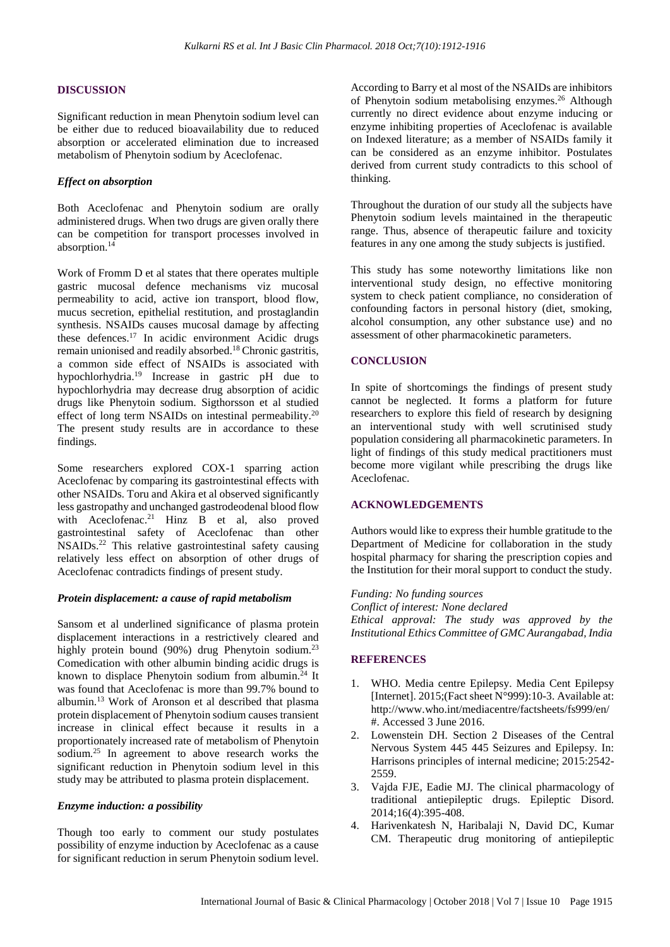## **DISCUSSION**

Significant reduction in mean Phenytoin sodium level can be either due to reduced bioavailability due to reduced absorption or accelerated elimination due to increased metabolism of Phenytoin sodium by Aceclofenac.

## *Effect on absorption*

Both Aceclofenac and Phenytoin sodium are orally administered drugs. When two drugs are given orally there can be competition for transport processes involved in absorption.<sup>14</sup>

Work of Fromm D et al states that there operates multiple gastric mucosal defence mechanisms viz mucosal permeability to acid, active ion transport, blood flow, mucus secretion, epithelial restitution, and prostaglandin synthesis. NSAIDs causes mucosal damage by affecting these defences.<sup>17</sup> In acidic environment Acidic drugs remain unionised and readily absorbed.<sup>18</sup> Chronic gastritis, a common side effect of NSAIDs is associated with hypochlorhydria.<sup>19</sup> Increase in gastric pH due to hypochlorhydria may decrease drug absorption of acidic drugs like Phenytoin sodium. Sigthorsson et al studied effect of long term NSAIDs on intestinal permeability.<sup>20</sup> The present study results are in accordance to these findings.

Some researchers explored COX-1 sparring action Aceclofenac by comparing its gastrointestinal effects with other NSAIDs. Toru and Akira et al observed significantly less gastropathy and unchanged gastrodeodenal blood flow with Aceclofenac.<sup>21</sup> Hinz B et al, also proved gastrointestinal safety of Aceclofenac than other NSAIDs.<sup>22</sup> This relative gastrointestinal safety causing relatively less effect on absorption of other drugs of Aceclofenac contradicts findings of present study.

## *Protein displacement: a cause of rapid metabolism*

Sansom et al underlined significance of plasma protein displacement interactions in a restrictively cleared and highly protein bound (90%) drug Phenytoin sodium.<sup>23</sup> Comedication with other albumin binding acidic drugs is known to displace Phenytoin sodium from albumin.<sup>24</sup> It was found that Aceclofenac is more than 99.7% bound to albumin.<sup>13</sup> Work of Aronson et al described that plasma protein displacement of Phenytoin sodium causes transient increase in clinical effect because it results in a proportionately increased rate of metabolism of Phenytoin sodium.<sup>25</sup> In agreement to above research works the significant reduction in Phenytoin sodium level in this study may be attributed to plasma protein displacement.

## *Enzyme induction: a possibility*

Though too early to comment our study postulates possibility of enzyme induction by Aceclofenac as a cause for significant reduction in serum Phenytoin sodium level. According to Barry et al most of the NSAIDs are inhibitors of Phenytoin sodium metabolising enzymes.<sup>26</sup> Although currently no direct evidence about enzyme inducing or enzyme inhibiting properties of Aceclofenac is available on Indexed literature; as a member of NSAIDs family it can be considered as an enzyme inhibitor. Postulates derived from current study contradicts to this school of thinking.

Throughout the duration of our study all the subjects have Phenytoin sodium levels maintained in the therapeutic range. Thus, absence of therapeutic failure and toxicity features in any one among the study subjects is justified.

This study has some noteworthy limitations like non interventional study design, no effective monitoring system to check patient compliance, no consideration of confounding factors in personal history (diet, smoking, alcohol consumption, any other substance use) and no assessment of other pharmacokinetic parameters.

#### **CONCLUSION**

In spite of shortcomings the findings of present study cannot be neglected. It forms a platform for future researchers to explore this field of research by designing an interventional study with well scrutinised study population considering all pharmacokinetic parameters. In light of findings of this study medical practitioners must become more vigilant while prescribing the drugs like Aceclofenac.

### **ACKNOWLEDGEMENTS**

Authors would like to express their humble gratitude to the Department of Medicine for collaboration in the study hospital pharmacy for sharing the prescription copies and the Institution for their moral support to conduct the study.

*Funding: No funding sources Conflict of interest: None declared Ethical approval: The study was approved by the Institutional Ethics Committee of GMC Aurangabad, India*

#### **REFERENCES**

- 1. WHO. Media centre Epilepsy. Media Cent Epilepsy [Internet]. 2015;(Fact sheet N°999):10-3. Available at: http://www.who.int/mediacentre/factsheets/fs999/en/ #. Accessed 3 June 2016.
- 2. Lowenstein DH. Section 2 Diseases of the Central Nervous System 445 445 Seizures and Epilepsy. In: Harrisons principles of internal medicine; 2015:2542- 2559.
- 3. Vajda FJE, Eadie MJ. The clinical pharmacology of traditional antiepileptic drugs. Epileptic Disord. 2014;16(4):395-408.
- 4. Harivenkatesh N, Haribalaji N, David DC, Kumar CM. Therapeutic drug monitoring of antiepileptic